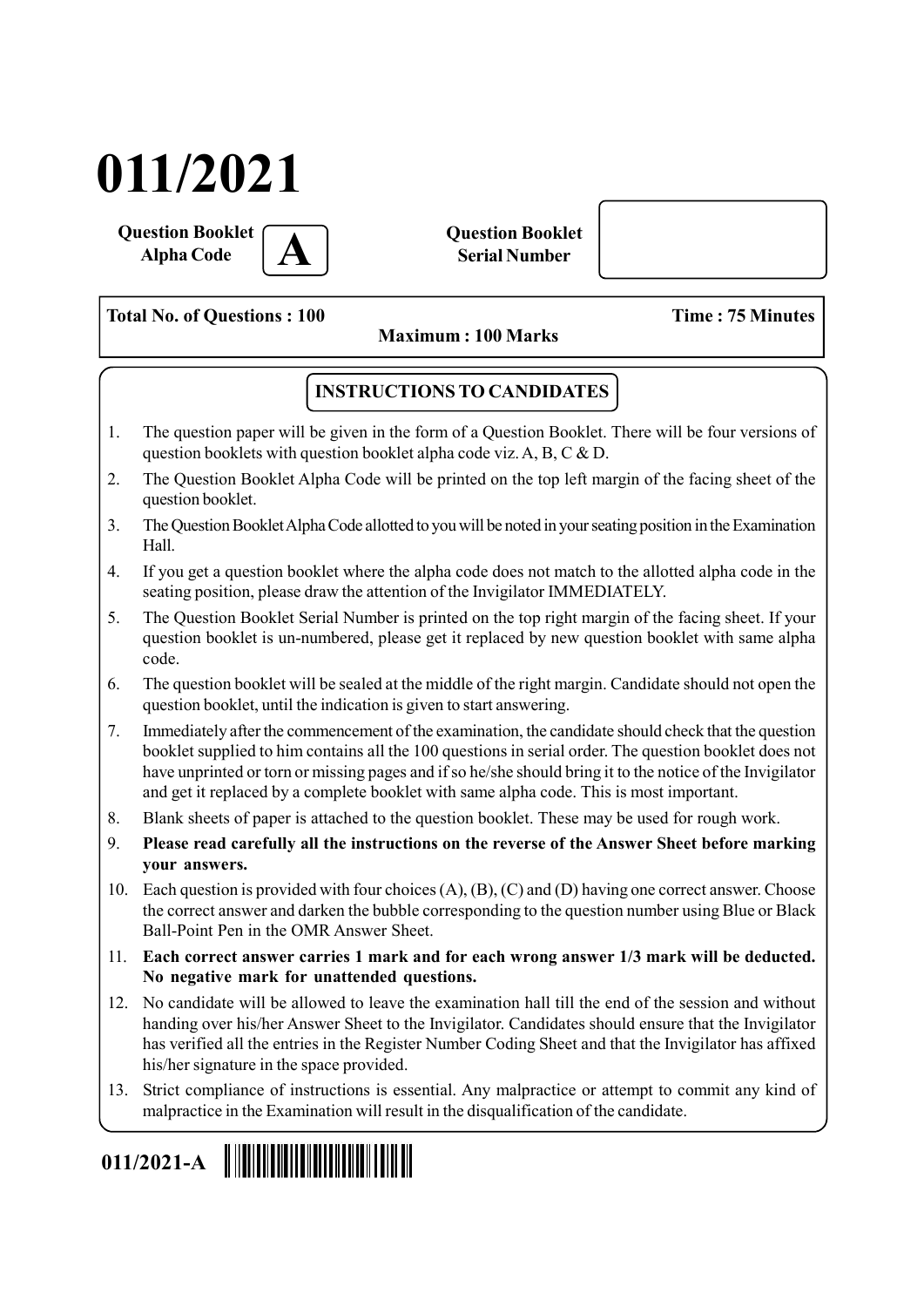# 011/2021

Question Booklet **Alpha Code** 



Question Booklet Serial Number

#### Total No. of Ouestions : 100 Time : 75 Minutes

#### Maximum : 100 Marks

# INSTRUCTIONS TO CANDIDATES

- 1. The question paper will be given in the form of a Question Booklet. There will be four versions of question booklets with question booklet alpha code viz. A, B, C & D.
- 2. The Question Booklet Alpha Code will be printed on the top left margin of the facing sheet of the question booklet.
- 3. The Question Booklet Alpha Code allotted to you will be noted in your seating position in the Examination Hall.
- 4. If you get a question booklet where the alpha code does not match to the allotted alpha code in the seating position, please draw the attention of the Invigilator IMMEDIATELY.
- 5. The Question Booklet Serial Number is printed on the top right margin of the facing sheet. If your question booklet is un-numbered, please get it replaced by new question booklet with same alpha code.
- 6. The question booklet will be sealed at the middle of the right margin. Candidate should not open the question booklet, until the indication is given to start answering.
- 7. Immediately after the commencement of the examination, the candidate should check that the question booklet supplied to him contains all the 100 questions in serial order. The question booklet does not have unprinted or torn or missing pages and if so he/she should bring it to the notice of the Invigilator and get it replaced by a complete booklet with same alpha code. This is most important.
- 8. Blank sheets of paper is attached to the question booklet. These may be used for rough work.
- 9. Please read carefully all the instructions on the reverse of the Answer Sheet before marking your answers.
- 10. Each question is provided with four choices (A), (B), (C) and (D) having one correct answer. Choose the correct answer and darken the bubble corresponding to the question number using Blue or Black Ball-Point Pen in the OMR Answer Sheet.
- 11. Each correct answer carries 1 mark and for each wrong answer 1/3 mark will be deducted. No negative mark for unattended questions.
- 12. No candidate will be allowed to leave the examination hall till the end of the session and without handing over his/her Answer Sheet to the Invigilator. Candidates should ensure that the Invigilator has verified all the entries in the Register Number Coding Sheet and that the Invigilator has affixed his/her signature in the space provided.
- 13. Strict compliance of instructions is essential. Any malpractice or attempt to commit any kind of malpractice in the Examination will result in the disqualification of the candidate.

011/2021-A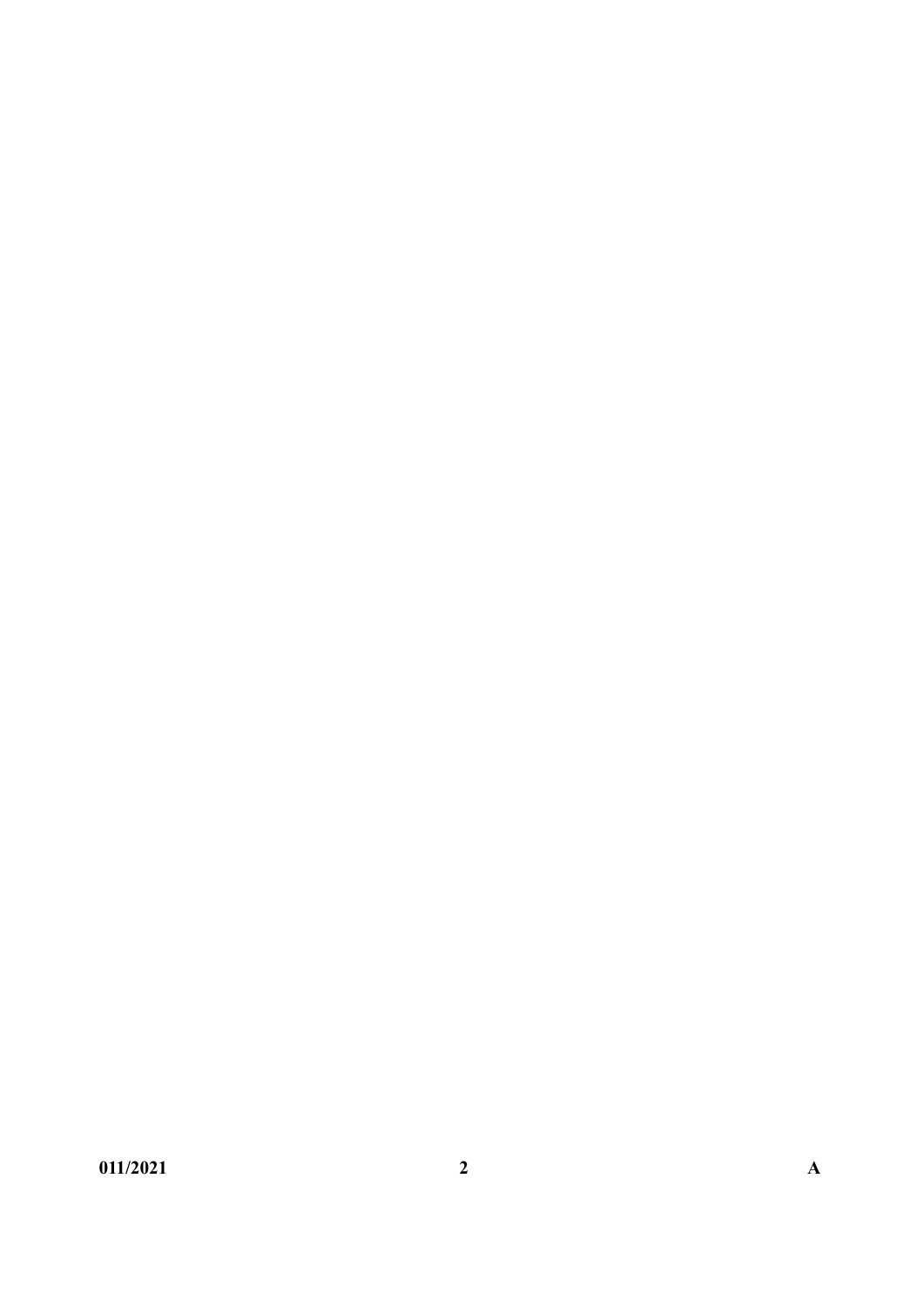$011/2021$  and  $2$  and  $4$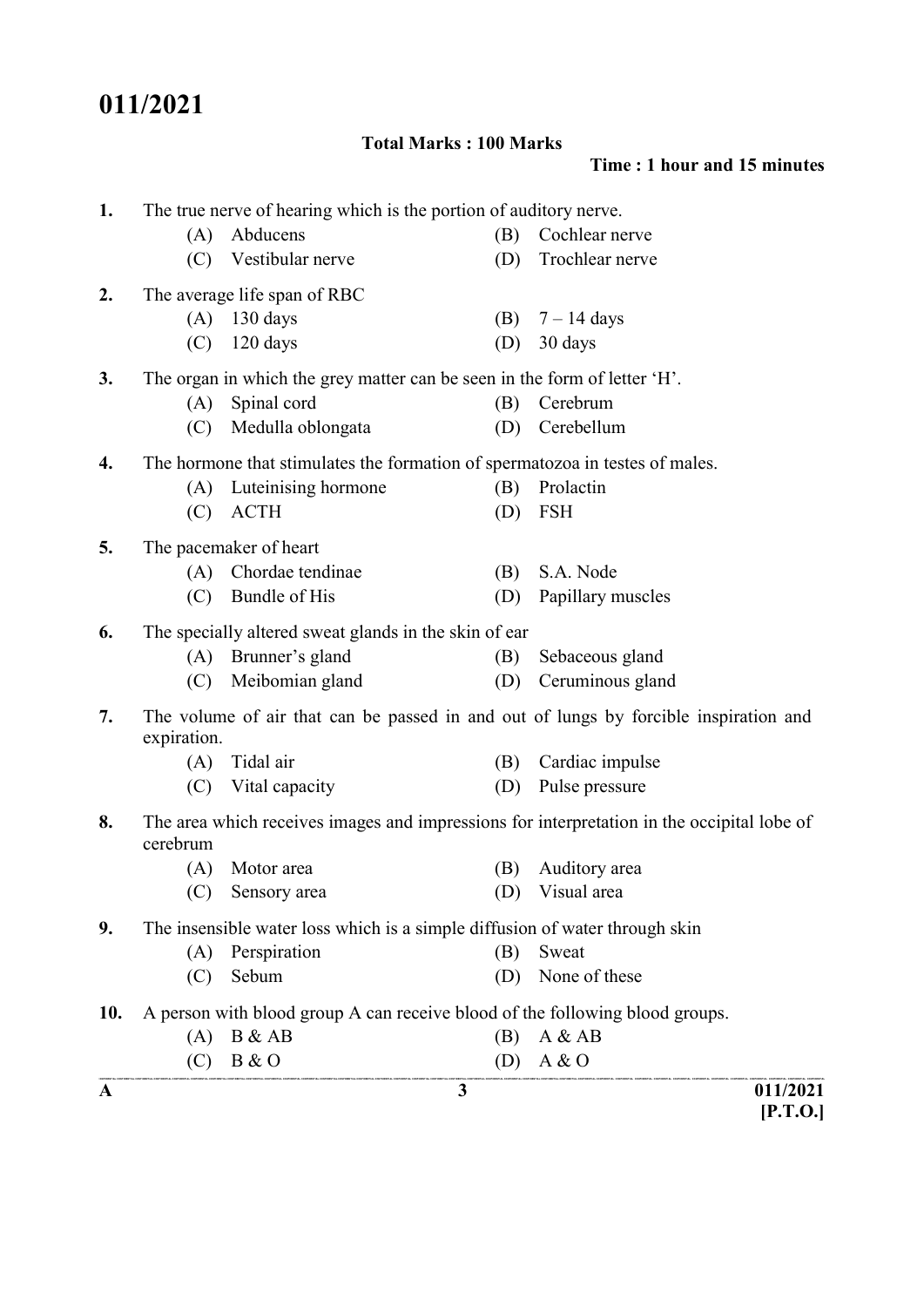# 011/2021

# Total Marks : 100 Marks

#### Time : 1 hour and 15 minutes

| A   |             |                                                                              | 3   | 011/2021                                                                                   |
|-----|-------------|------------------------------------------------------------------------------|-----|--------------------------------------------------------------------------------------------|
|     | (C)         | B & O                                                                        | (D) | A & O                                                                                      |
|     | (A)         | B & AB                                                                       | (B) | A & AB                                                                                     |
| 10. |             | A person with blood group A can receive blood of the following blood groups. |     |                                                                                            |
|     | (C)         | Sebum                                                                        | (D) | None of these                                                                              |
|     | (A)         | Perspiration                                                                 | (B) | Sweat                                                                                      |
| 9.  |             | The insensible water loss which is a simple diffusion of water through skin  |     |                                                                                            |
|     | (C)         | Sensory area                                                                 | (D) | Visual area                                                                                |
|     | (A)         | Motor area                                                                   | (B) | Auditory area                                                                              |
|     | cerebrum    |                                                                              |     |                                                                                            |
| 8.  |             |                                                                              |     | The area which receives images and impressions for interpretation in the occipital lobe of |
|     | (C)         | Vital capacity                                                               | (D) | Pulse pressure                                                                             |
|     | (A)         | Tidal air                                                                    | (B) | Cardiac impulse                                                                            |
| 7.  | expiration. |                                                                              |     | The volume of air that can be passed in and out of lungs by forcible inspiration and       |
|     | (C)         | Meibomian gland                                                              | (D) | Ceruminous gland                                                                           |
|     | (A)         | Brunner's gland                                                              | (B) | Sebaceous gland                                                                            |
| 6.  |             | The specially altered sweat glands in the skin of ear                        |     |                                                                                            |
|     | (C)         | Bundle of His                                                                | (D) | Papillary muscles                                                                          |
|     | (A)         | Chordae tendinae                                                             | (B) | S.A. Node                                                                                  |
| 5.  |             | The pacemaker of heart                                                       |     |                                                                                            |
|     | (C)         | <b>ACTH</b>                                                                  | (D) | <b>FSH</b>                                                                                 |
|     | (A)         | Luteinising hormone                                                          | (B) | Prolactin                                                                                  |
| 4.  |             | The hormone that stimulates the formation of spermatozoa in testes of males. |     |                                                                                            |
|     | (C)         | Medulla oblongata                                                            | (D) | Cerebellum                                                                                 |
|     | (A)         | Spinal cord                                                                  | (B) | Cerebrum                                                                                   |
| 3.  |             | The organ in which the grey matter can be seen in the form of letter 'H'.    |     |                                                                                            |
|     | (C)         | 120 days                                                                     | (D) | 30 days                                                                                    |
|     | (A)         | 130 days                                                                     | (B) | $7 - 14$ days                                                                              |
| 2.  |             | The average life span of RBC                                                 |     |                                                                                            |
|     | (C)         | Vestibular nerve                                                             | (D) | Trochlear nerve                                                                            |
|     | (A)         | Abducens                                                                     | (B) | Cochlear nerve                                                                             |
|     |             |                                                                              |     |                                                                                            |

 $[P.T.O.]$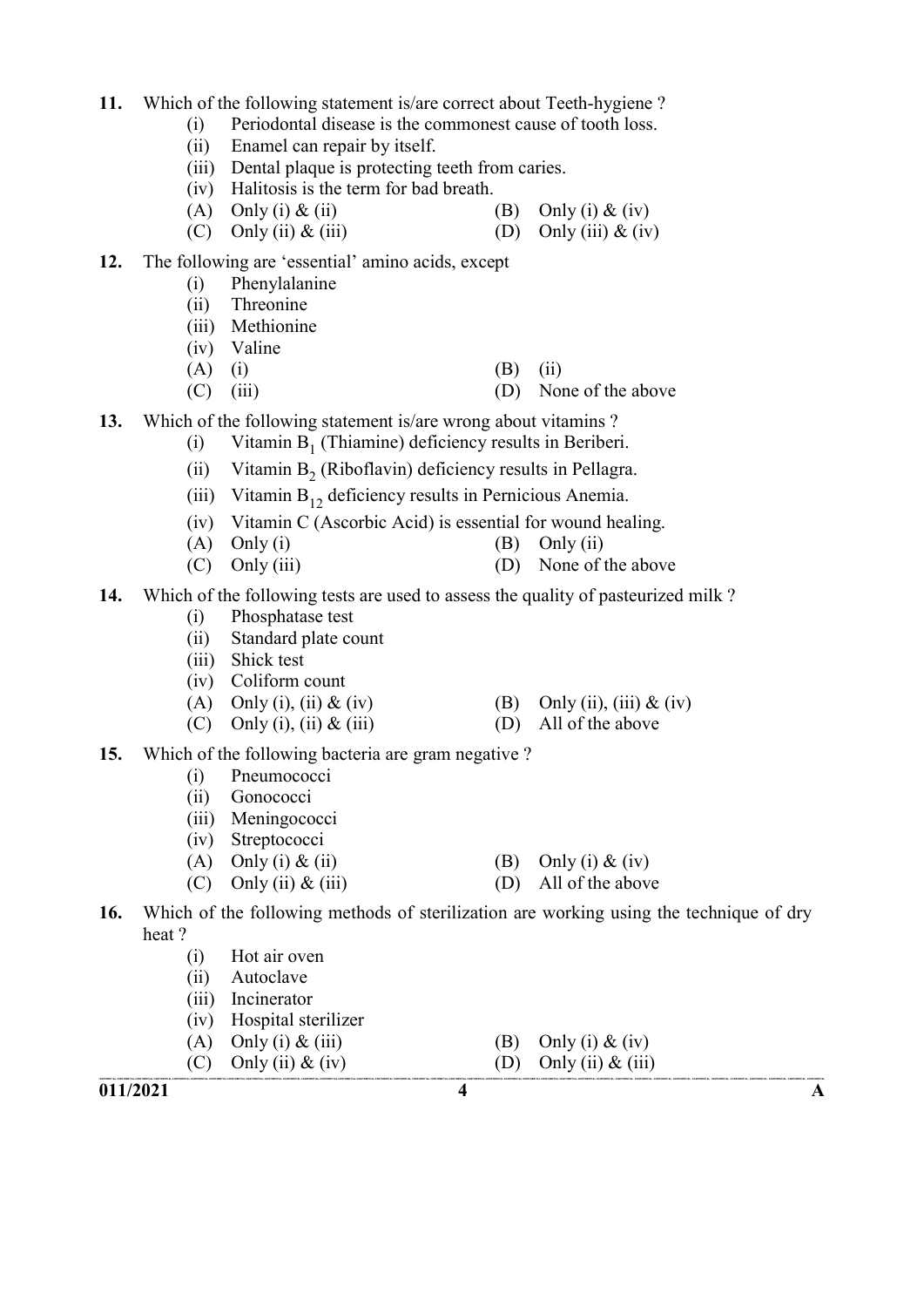- (i) Phenylalanine (ii) Threonine (iii) Methionine (iv) Valine  $(A)$  (i)  $(B)$  (ii) (C) (iii) (D) None of the above 13. Which of the following statement is/are wrong about vitamins ? (i) Vitamin  $B_1$  (Thiamine) deficiency results in Beriberi. (ii) Vitamin  $B_2$  (Riboflavin) deficiency results in Pellagra. (iii) Vitamin  $B_{12}$  deficiency results in Pernicious Anemia. (iv) Vitamin C (Ascorbic Acid) is essential for wound healing. (A) Only (i)  $(B)$  Only (ii) (C) Only (iii) (D) None of the above (i) Phosphatase test (ii) Standard plate count (iii) Shick test (iv) Coliform count (A) Only (i), (ii)  $\&$  (iv) (B) Only (ii), (iii)  $\&$  (iv) (C) Only (i), (ii)  $\&$  (iii) (D) All of the above (i) Pneumococci (ii) Gonococci (iii) Meningococci (iv) Streptococci (A) Only (i)  $\&$  (ii) (B) Only (i)  $\&$  (iv) (C) Only (ii)  $\&$  (iii) (D) All of the above 16. Which of the following methods of sterilization are working using the technique of dry heat ? (i) Hot air oven
	- (ii) Autoclave (iii) Incinerator (iv) Hospital sterilizer (A) Only (i)  $\&$  (iii) (B) Only (i)  $\&$  (iv) (C) Only (ii)  $\&$  (iv) (D) Only (ii)  $\&$  (iii)

 $011/2021$  A

- 
- 14. Which of the following tests are used to assess the quality of pasteurized milk ?

15. Which of the following bacteria are gram negative ?

(A) Only (i)  $\&$  (ii) (B) Only (i)  $\&$  (iv) (C) Only (ii)  $\&$  (iii) (D) Only (iii)  $\&$  (iv) 12. The following are 'essential' amino acids, except

(iv) Halitosis is the term for bad breath.

# 11. Which of the following statement is/are correct about Teeth-hygiene ?

(iii) Dental plaque is protecting teeth from caries.

- (i) Periodontal disease is the commonest cause of tooth loss.
	- (ii) Enamel can repair by itself.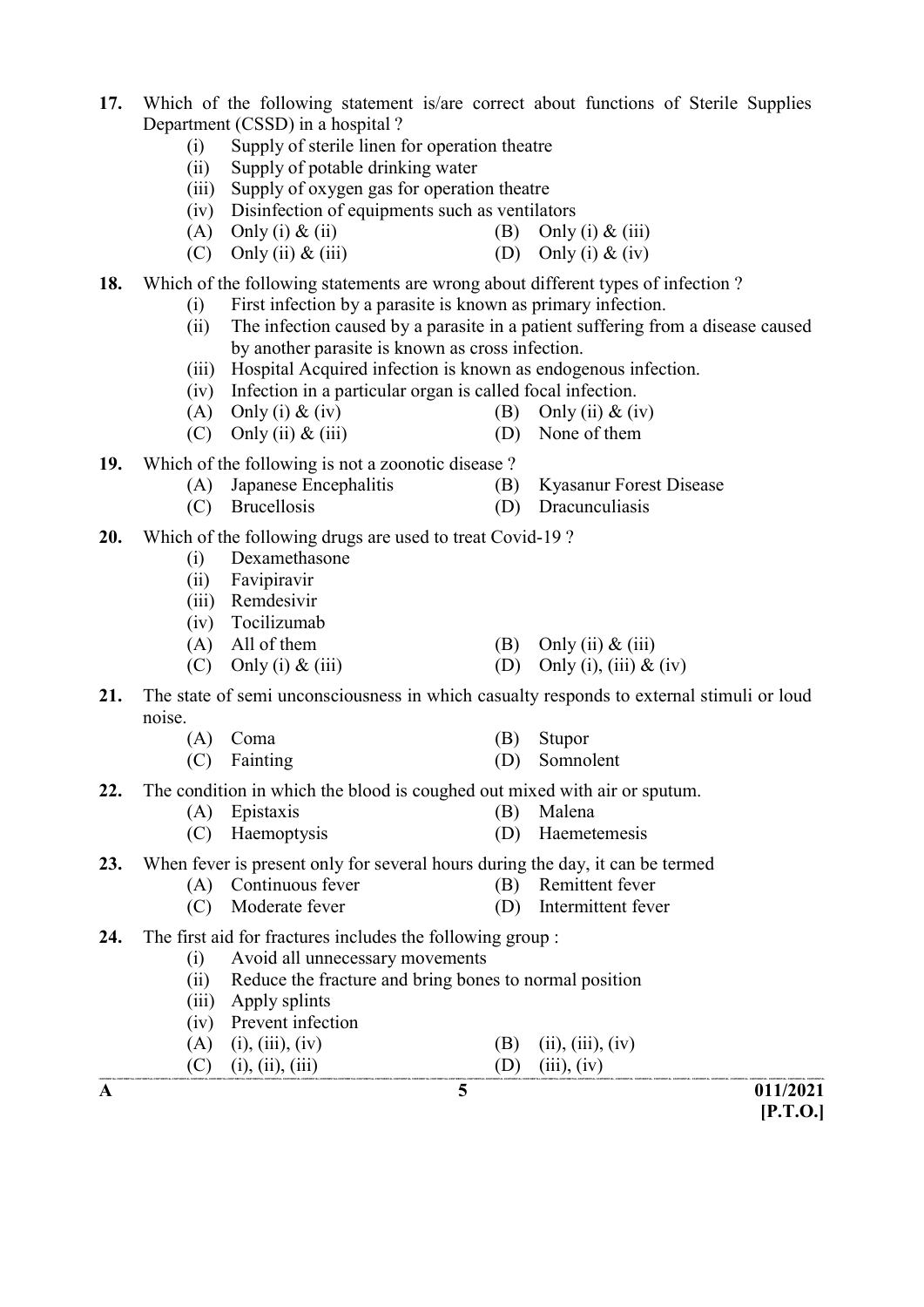- 17. Which of the following statement is/are correct about functions of Sterile Supplies Department (CSSD) in a hospital ?
	- (i) Supply of sterile linen for operation theatre
	- (ii) Supply of potable drinking water
	- (iii) Supply of oxygen gas for operation theatre
	- (iv) Disinfection of equipments such as ventilators
	- (A) Only (i)  $\&$  (ii) (B) Only (i)  $\&$  (iii)
	- (C) Only (ii)  $\&$  (iii) (D) Only (i)  $\&$  (iv)
- 18. Which of the following statements are wrong about different types of infection ?
	- (i) First infection by a parasite is known as primary infection.
	- (ii) The infection caused by a parasite in a patient suffering from a disease caused by another parasite is known as cross infection.
	- (iii) Hospital Acquired infection is known as endogenous infection.
	- (iv) Infection in a particular organ is called focal infection.
	- (A) Only (i)  $\&$  (iv) (B) Only (ii)  $\&$  (iv)
	- (C) Only (ii)  $\&$  (iii) (D) None of them

19. Which of the following is not a zoonotic disease ?

- (A) Japanese Encephalitis (B) Kyasanur Forest Disease
- (C) Brucellosis (D) Dracunculiasis
- 20. Which of the following drugs are used to treat Covid-19?
	- (i) Dexamethasone
	- (ii) Favipiravir
	- (iii) Remdesivir
	- (iv) Tocilizumab
	- (A) All of them (B) Only (ii)  $\&$  (iii)
	- (C) Only (i)  $\&$  (iii) (D) Only (i), (iii)  $\&$  (iv)
- 21. The state of semi unconsciousness in which casualty responds to external stimuli or loud noise.
	- (A) Coma (B) Stupor
	- (C) Fainting (D) Somnolent
- 22. The condition in which the blood is coughed out mixed with air or sputum.
	- (A) Epistaxis (B) Malena
	- (C) Haemoptysis (D) Haemetemesis
- 23. When fever is present only for several hours during the day, it can be termed
	- (A) Continuous fever (B) Remittent fever
	- (C) Moderate fever (D) Intermittent fever
- 24. The first aid for fractures includes the following group :
	- (i) Avoid all unnecessary movements
	- (ii) Reduce the fracture and bring bones to normal position
	- (iii) Apply splints
	- (iv) Prevent infection
	- (A) (i), (iii), (iv) (B) (ii), (iii), (iv)
	- (C) (i), (ii), (iii) (D) (iii), (iv)

A  $\qquad \qquad 5 \qquad \qquad 011/2021$  $[P.T.O.]$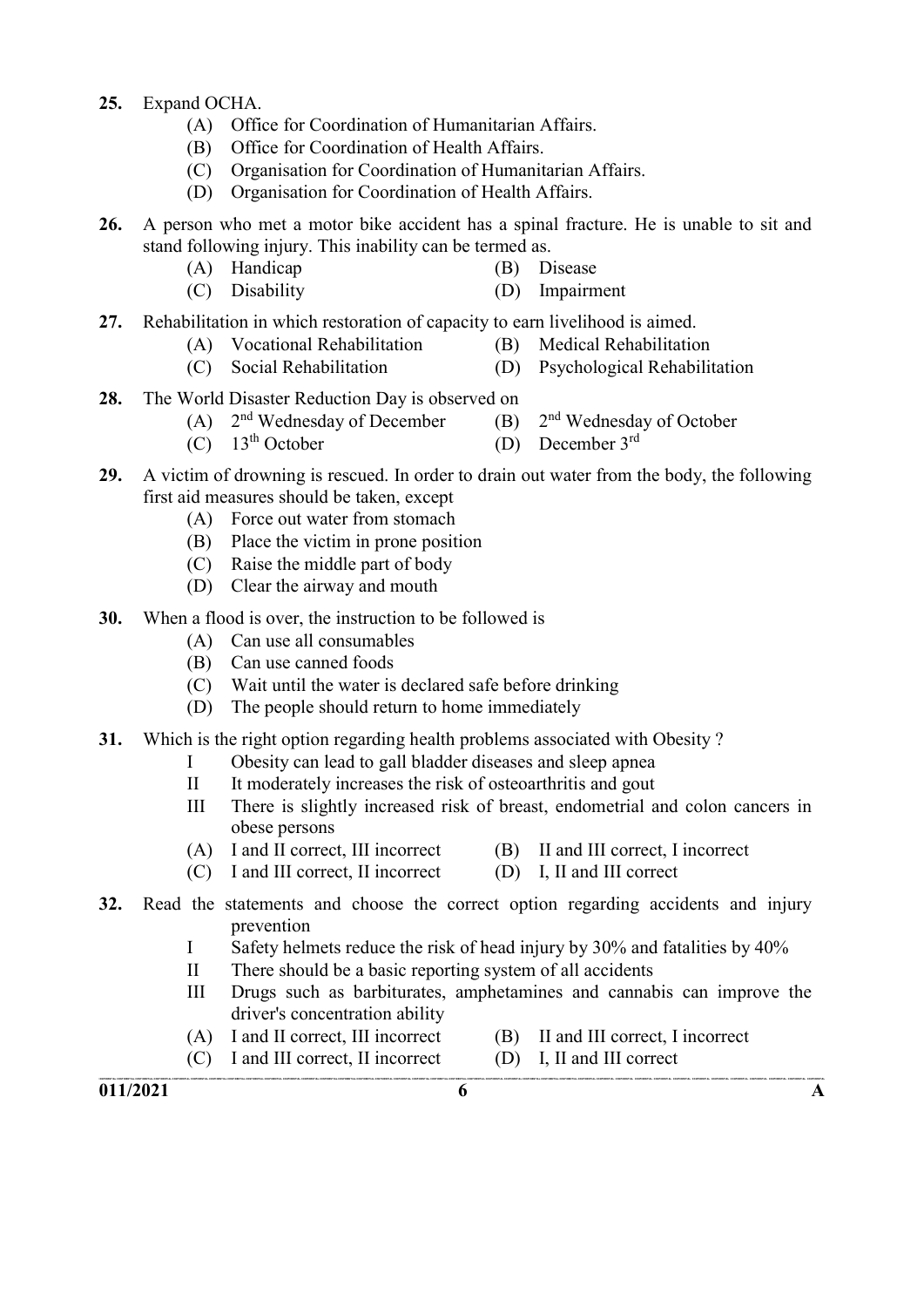- 25. Expand OCHA.
	- (A) Office for Coordination of Humanitarian Affairs.
	- (B) Office for Coordination of Health Affairs.
	- (C) Organisation for Coordination of Humanitarian Affairs.
	- (D) Organisation for Coordination of Health Affairs.
- 26. A person who met a motor bike accident has a spinal fracture. He is unable to sit and stand following injury. This inability can be termed as.
	- (A) Handicap (B) Disease
	- (C) Disability (D) Impairment
- 27. Rehabilitation in which restoration of capacity to earn livelihood is aimed.
	- (A) Vocational Rehabilitation (B) Medical Rehabilitation
	- (C) Social Rehabilitation (D) Psychological Rehabilitation
- 28. The World Disaster Reduction Day is observed on
	-
	- (C) 13th October (D) December 3rd
- 29. A victim of drowning is rescued. In order to drain out water from the body, the following first aid measures should be taken, except
	- (A) Force out water from stomach
	- (B) Place the victim in prone position
	- (C) Raise the middle part of body
	- (D) Clear the airway and mouth
- 30. When a flood is over, the instruction to be followed is
	- (A) Can use all consumables
	- (B) Can use canned foods
	- (C) Wait until the water is declared safe before drinking
	- (D) The people should return to home immediately
- 31. Which is the right option regarding health problems associated with Obesity ?
	- I Obesity can lead to gall bladder diseases and sleep apnea
	- II It moderately increases the risk of osteoarthritis and gout
	- III There is slightly increased risk of breast, endometrial and colon cancers in obese persons
	- (A) I and II correct, III incorrect (B) II and III correct, I incorrect
	- (C) I and III correct, II incorrect (D) I, II and III correct
- 32. Read the statements and choose the correct option regarding accidents and injury prevention
	- I Safety helmets reduce the risk of head injury by 30% and fatalities by 40%
	- II There should be a basic reporting system of all accidents
	- III Drugs such as barbiturates, amphetamines and cannabis can improve the driver's concentration ability
	- (A) I and II correct, III incorrect (B) II and III correct, I incorrect
- - (C) I and III correct, II incorrect (D) I, II and III correct

 $011/2021$  6 A

- 
- 
- (A)  $2<sup>nd</sup> Wednesday of December$ <br>
(B)  $2<sup>nd</sup> Wednesday of October$ <br>
(D) December  $3<sup>rd</sup>$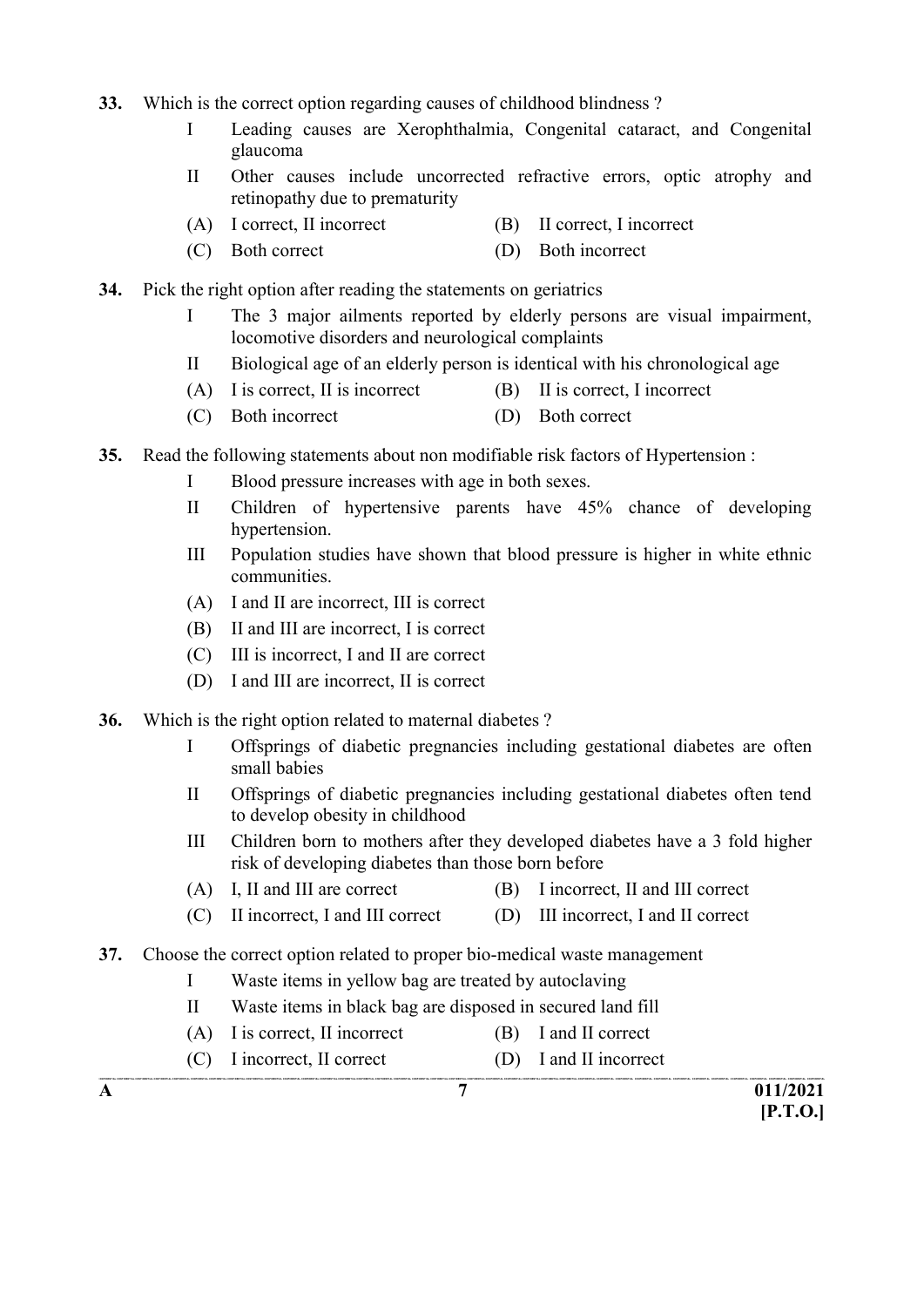- 33. Which is the correct option regarding causes of childhood blindness ?
	- I Leading causes are Xerophthalmia, Congenital cataract, and Congenital glaucoma
	- II Other causes include uncorrected refractive errors, optic atrophy and retinopathy due to prematurity
	- (A) I correct, II incorrect (B) II correct, I incorrect
	- (C) Both correct (D) Both incorrect
- 34. Pick the right option after reading the statements on geriatrics
	- I The 3 major ailments reported by elderly persons are visual impairment, locomotive disorders and neurological complaints
	- II Biological age of an elderly person is identical with his chronological age
	- (A) I is correct, II is incorrect (B) II is correct, I incorrect
	- (C) Both incorrect (D) Both correct
- 35. Read the following statements about non modifiable risk factors of Hypertension :
	- I Blood pressure increases with age in both sexes.
	- II Children of hypertensive parents have 45% chance of developing hypertension.
	- III Population studies have shown that blood pressure is higher in white ethnic communities.
	- (A) I and II are incorrect, III is correct
	- (B) II and III are incorrect, I is correct
	- (C) III is incorrect, I and II are correct
	- (D) I and III are incorrect, II is correct
- 36. Which is the right option related to maternal diabetes ?
	- I Offsprings of diabetic pregnancies including gestational diabetes are often small babies
	- II Offsprings of diabetic pregnancies including gestational diabetes often tend to develop obesity in childhood
	- III Children born to mothers after they developed diabetes have a 3 fold higher risk of developing diabetes than those born before
	- (A) I, II and III are correct (B) I incorrect, II and III correct
	- (C) II incorrect, I and III correct (D) III incorrect, I and II correct
- 37. Choose the correct option related to proper bio-medical waste management
	- I Waste items in yellow bag are treated by autoclaving
	- II Waste items in black bag are disposed in secured land fill
	- (A) I is correct, II incorrect (B) I and II correct
	- (C) I incorrect, II correct (D) I and II incorrect

A  $\overline{7}$  011/2021  $[P.T.O.]$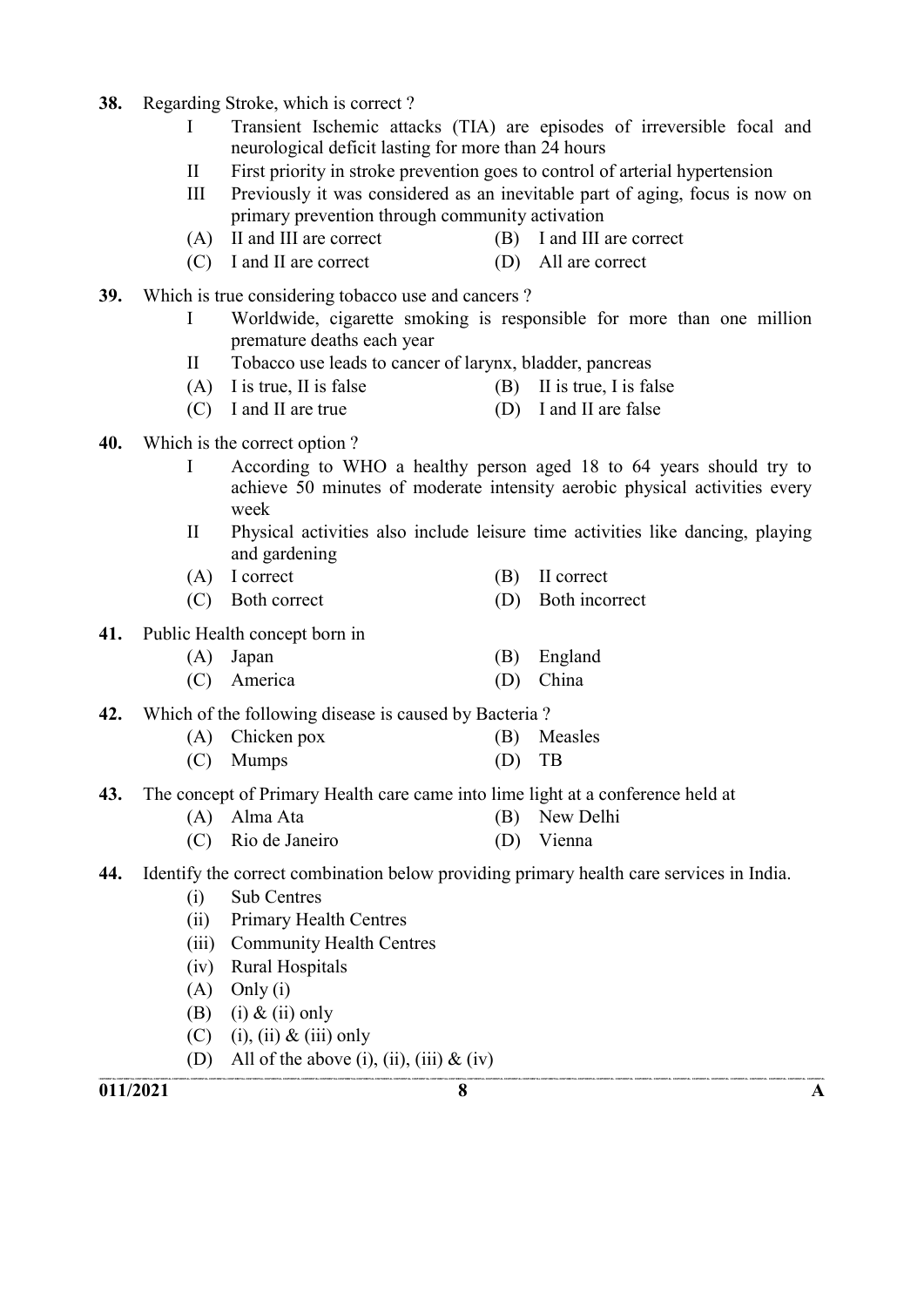- 38. Regarding Stroke, which is correct ?
	- I Transient Ischemic attacks (TIA) are episodes of irreversible focal and neurological deficit lasting for more than 24 hours
	- II First priority in stroke prevention goes to control of arterial hypertension
	- III Previously it was considered as an inevitable part of aging, focus is now on primary prevention through community activation
	- (A) II and III are correct (B) I and III are correct
	- (C) I and II are correct (D) All are correct
- 39. Which is true considering tobacco use and cancers ?
	- I Worldwide, cigarette smoking is responsible for more than one million premature deaths each year
	- II Tobacco use leads to cancer of larynx, bladder, pancreas
	- (A) I is true, II is false (B) II is true, I is false
	- (C) I and II are true (D) I and II are false

#### 40. Which is the correct option ?

- I According to WHO a healthy person aged 18 to 64 years should try to achieve 50 minutes of moderate intensity aerobic physical activities every week
- II Physical activities also include leisure time activities like dancing, playing and gardening
- (A) I correct (B) II correct
- (C) Both correct (D) Both incorrect

#### 41. Public Health concept born in

 (A) Japan (B) England (C) America (D) China

42. Which of the following disease is caused by Bacteria ?

- (A) Chicken pox (B) Measles
- (C) Mumps (D) TB
- 43. The concept of Primary Health care came into lime light at a conference held at
	- (A) Alma Ata (B) New Delhi
	- (C) Rio de Janeiro (D) Vienna

#### 44. Identify the correct combination below providing primary health care services in India.

- (i) Sub Centres
- (ii) Primary Health Centres
- (iii) Community Health Centres
- (iv) Rural Hospitals
- $(A)$  Only  $(i)$
- (B) (i)  $\&$  (ii) only
- $(C)$  (i), (ii) & (iii) only
- (D) All of the above (i), (ii), (iii)  $&$  (iv)

 $011/2021$  and  $8$  and  $4$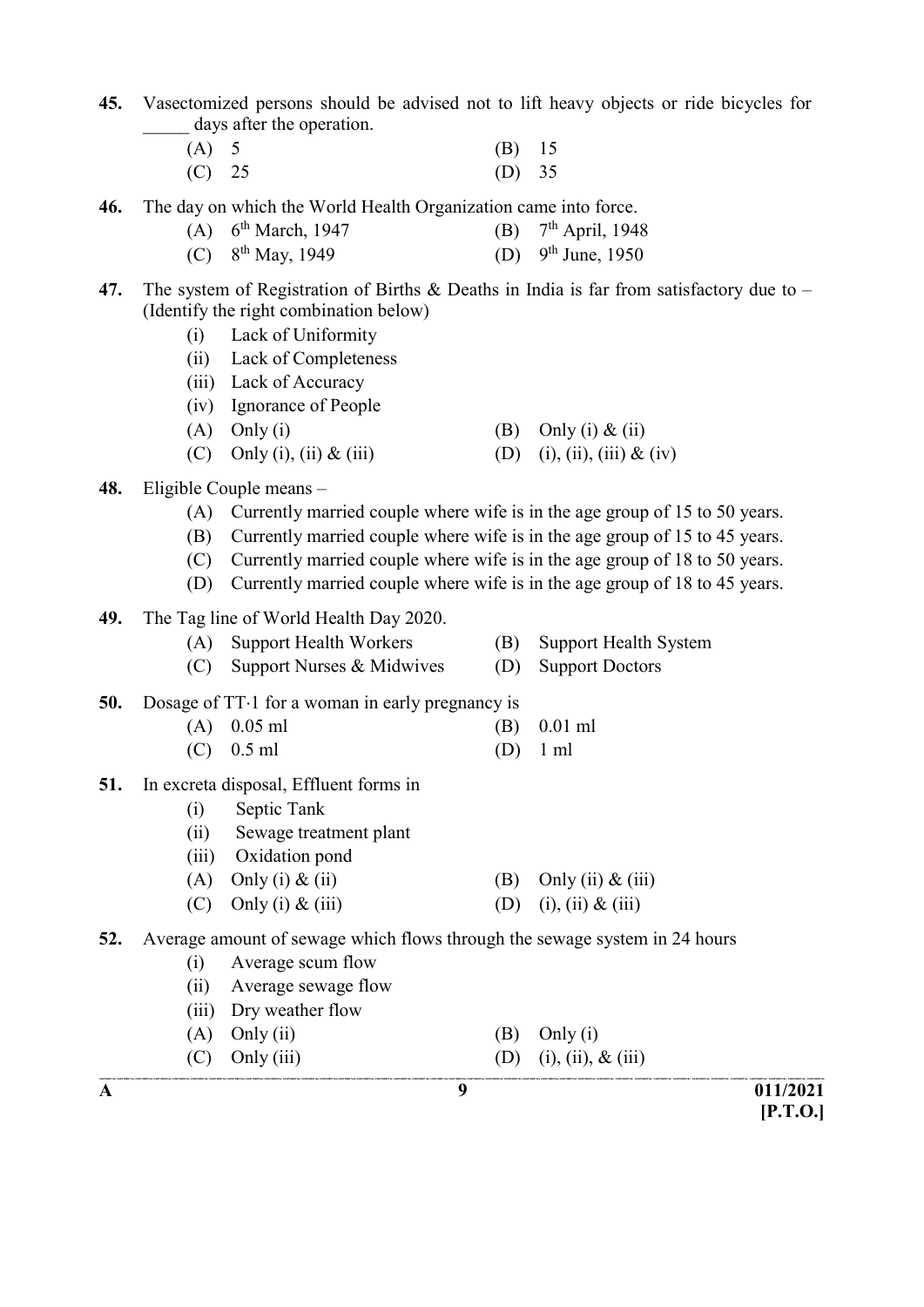45. Vasectomized persons should be advised not to lift heavy objects or ride bicycles for days after the operation.

| $(A)$ 5 | $(B)$ 15 |  |
|---------|----------|--|
| (C) 25  | (D) 35   |  |

46. The day on which the World Health Organization came into force.

| (A) $6^{th}$ March, 1947 | (B) $7th$ April, 1948   |
|--------------------------|-------------------------|
| (C) $8^{th}$ May, 1949   | (D) $9^{th}$ June, 1950 |

- 47. The system of Registration of Births & Deaths in India is far from satisfactory due to  $-$ (Identify the right combination below)
	- (i) Lack of Uniformity
	- (ii) Lack of Completeness
	- (iii) Lack of Accuracy
	- (iv) Ignorance of People
	- (A) Only (i)  $\qquad \qquad$  (B) Only (i) & (ii)
	- (C) Only (i), (ii)  $\&$  (iii) (D) (i), (ii), (iii)  $\&$  (iv)
- 48. Eligible Couple means
	- (A) Currently married couple where wife is in the age group of 15 to 50 years.
	- (B) Currently married couple where wife is in the age group of 15 to 45 years.
	- (C) Currently married couple where wife is in the age group of 18 to 50 years.
	- (D) Currently married couple where wife is in the age group of 18 to 45 years.

| 49. | The Tag line of World Health Day 2020. |  |
|-----|----------------------------------------|--|
|     |                                        |  |

- (A) Support Health Workers (B) Support Health System
- (C) Support Nurses & Midwives (D) Support Doctors

- 50. Dosage of  $TT-1$  for a woman in early pregnancy is
	- (A) 0.05 ml (B) 0.01 ml
	- (C) 0.5 ml (D) 1 ml
- 51. In excreta disposal, Effluent forms in
	- (i) Septic Tank
	- (ii) Sewage treatment plant
	- (iii) Oxidation pond
	- (A) Only (i)  $\&$  (ii) (B) Only (ii)  $\&$  (iii)
	- (C) Only (i)  $\&$  (iii) (D) (i), (ii)  $\&$  (iii)

#### 52. Average amount of sewage which flows through the sewage system in 24 hours

- (i) Average scum flow
- (ii) Average sewage flow
- (iii) Dry weather flow
- (A) Only (ii)  $(B)$  Only (i)
- (C) Only (iii)  $(D)$  (i), (ii),  $\&$  (iii)

A  $9$  011/2021  $[P.T.O.]$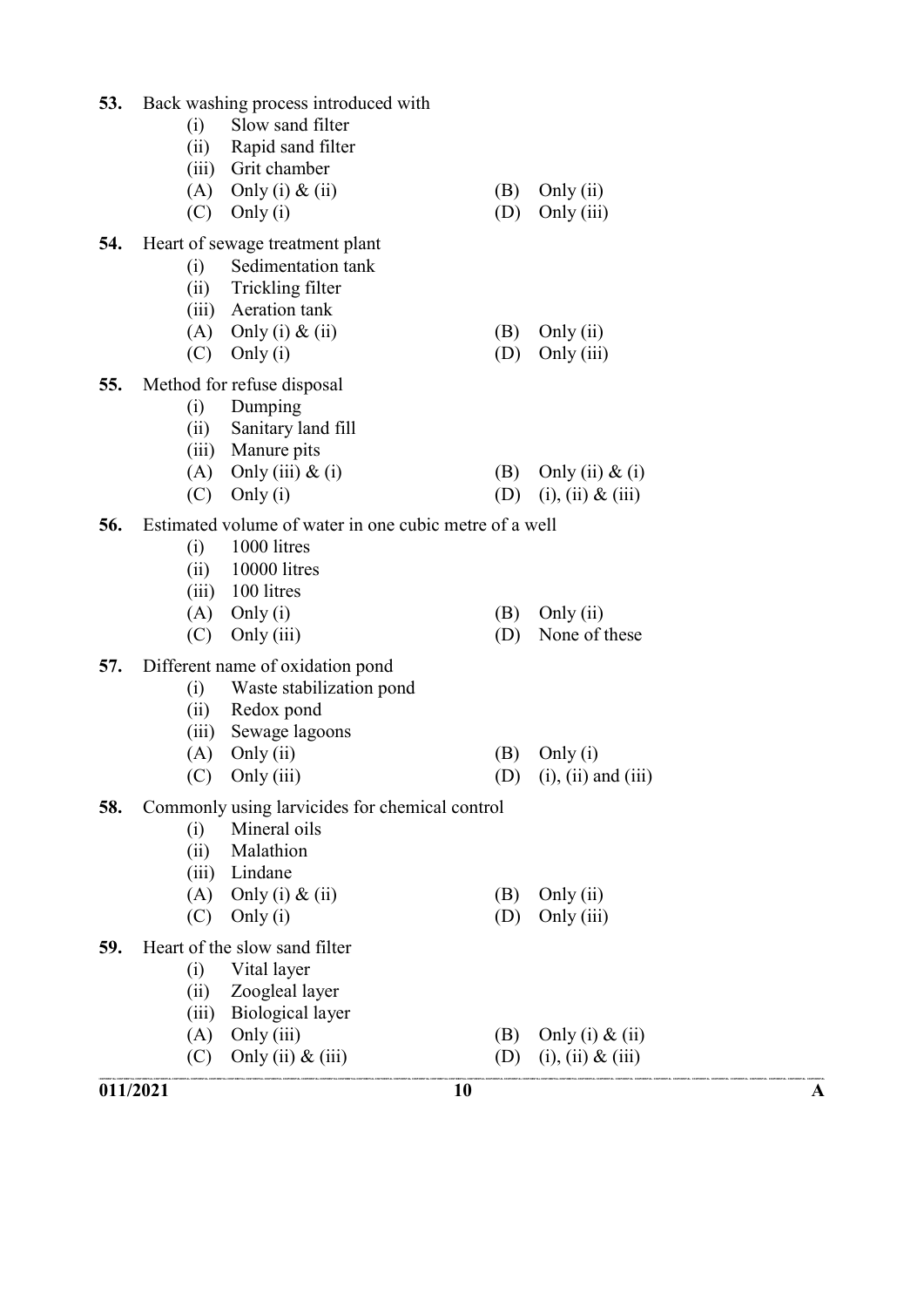| (C)<br>(i)<br>(ii)<br>(iii)<br>(A)<br>(C)<br>(i)<br>(ii)<br>(iii)<br>(A)<br>(C)<br>(i)<br>(ii)<br>(iii)<br>(A)<br>(C) | Different name of oxidation pond<br>Waste stabilization pond<br>Redox pond<br>Sewage lagoons<br>Only (ii)<br>Only (iii)<br>Commonly using larvicides for chemical control<br>Mineral oils<br>Malathion<br>Lindane<br>Only (i) $&$ (ii)<br>Only $(i)$<br>Heart of the slow sand filter<br>Vital layer<br>Zoogleal layer<br>Biological layer<br>Only (iii)<br>Only (ii) $&$ (iii) | (B)<br>(D)<br>(B)<br>(D)<br>(B)<br>(D)                                                                                                                                                      | Only $(i)$<br>$(i)$ , $(ii)$ and $(iii)$<br>Only (ii)<br>Only (iii)<br>Only (i) $&$ (ii)<br>$(i)$ , $(ii)$ & $(iii)$ |                                                                                                |
|-----------------------------------------------------------------------------------------------------------------------|---------------------------------------------------------------------------------------------------------------------------------------------------------------------------------------------------------------------------------------------------------------------------------------------------------------------------------------------------------------------------------|---------------------------------------------------------------------------------------------------------------------------------------------------------------------------------------------|----------------------------------------------------------------------------------------------------------------------|------------------------------------------------------------------------------------------------|
|                                                                                                                       |                                                                                                                                                                                                                                                                                                                                                                                 |                                                                                                                                                                                             |                                                                                                                      |                                                                                                |
|                                                                                                                       |                                                                                                                                                                                                                                                                                                                                                                                 |                                                                                                                                                                                             |                                                                                                                      |                                                                                                |
|                                                                                                                       |                                                                                                                                                                                                                                                                                                                                                                                 |                                                                                                                                                                                             |                                                                                                                      |                                                                                                |
|                                                                                                                       |                                                                                                                                                                                                                                                                                                                                                                                 |                                                                                                                                                                                             |                                                                                                                      |                                                                                                |
|                                                                                                                       |                                                                                                                                                                                                                                                                                                                                                                                 |                                                                                                                                                                                             |                                                                                                                      |                                                                                                |
|                                                                                                                       |                                                                                                                                                                                                                                                                                                                                                                                 |                                                                                                                                                                                             |                                                                                                                      |                                                                                                |
|                                                                                                                       |                                                                                                                                                                                                                                                                                                                                                                                 |                                                                                                                                                                                             |                                                                                                                      |                                                                                                |
|                                                                                                                       |                                                                                                                                                                                                                                                                                                                                                                                 |                                                                                                                                                                                             |                                                                                                                      |                                                                                                |
|                                                                                                                       |                                                                                                                                                                                                                                                                                                                                                                                 |                                                                                                                                                                                             |                                                                                                                      |                                                                                                |
|                                                                                                                       |                                                                                                                                                                                                                                                                                                                                                                                 |                                                                                                                                                                                             |                                                                                                                      |                                                                                                |
|                                                                                                                       |                                                                                                                                                                                                                                                                                                                                                                                 |                                                                                                                                                                                             |                                                                                                                      |                                                                                                |
|                                                                                                                       |                                                                                                                                                                                                                                                                                                                                                                                 |                                                                                                                                                                                             |                                                                                                                      |                                                                                                |
|                                                                                                                       |                                                                                                                                                                                                                                                                                                                                                                                 |                                                                                                                                                                                             |                                                                                                                      |                                                                                                |
|                                                                                                                       |                                                                                                                                                                                                                                                                                                                                                                                 |                                                                                                                                                                                             |                                                                                                                      |                                                                                                |
|                                                                                                                       |                                                                                                                                                                                                                                                                                                                                                                                 |                                                                                                                                                                                             |                                                                                                                      |                                                                                                |
|                                                                                                                       |                                                                                                                                                                                                                                                                                                                                                                                 |                                                                                                                                                                                             |                                                                                                                      |                                                                                                |
|                                                                                                                       | Only (iii)                                                                                                                                                                                                                                                                                                                                                                      | (D)                                                                                                                                                                                         | None of these                                                                                                        |                                                                                                |
| (A)                                                                                                                   | Only $(i)$                                                                                                                                                                                                                                                                                                                                                                      | (B)                                                                                                                                                                                         | Only (ii)                                                                                                            |                                                                                                |
| (iii)                                                                                                                 | 100 litres                                                                                                                                                                                                                                                                                                                                                                      |                                                                                                                                                                                             |                                                                                                                      |                                                                                                |
| (ii)                                                                                                                  | 10000 litres                                                                                                                                                                                                                                                                                                                                                                    |                                                                                                                                                                                             |                                                                                                                      |                                                                                                |
| (i)                                                                                                                   | 1000 litres                                                                                                                                                                                                                                                                                                                                                                     |                                                                                                                                                                                             |                                                                                                                      |                                                                                                |
|                                                                                                                       |                                                                                                                                                                                                                                                                                                                                                                                 |                                                                                                                                                                                             |                                                                                                                      |                                                                                                |
| (C)                                                                                                                   | Only $(i)$                                                                                                                                                                                                                                                                                                                                                                      | (D)                                                                                                                                                                                         | $(i)$ , $(ii)$ & $(iii)$                                                                                             |                                                                                                |
| (A)                                                                                                                   | Only (iii) $&$ (i)                                                                                                                                                                                                                                                                                                                                                              | (B)                                                                                                                                                                                         | Only (ii) $\&$ (i)                                                                                                   |                                                                                                |
| (iii)                                                                                                                 | Manure pits                                                                                                                                                                                                                                                                                                                                                                     |                                                                                                                                                                                             |                                                                                                                      |                                                                                                |
| (ii)                                                                                                                  | Sanitary land fill                                                                                                                                                                                                                                                                                                                                                              |                                                                                                                                                                                             |                                                                                                                      |                                                                                                |
|                                                                                                                       |                                                                                                                                                                                                                                                                                                                                                                                 |                                                                                                                                                                                             |                                                                                                                      |                                                                                                |
|                                                                                                                       |                                                                                                                                                                                                                                                                                                                                                                                 |                                                                                                                                                                                             |                                                                                                                      |                                                                                                |
| (C)                                                                                                                   | Only $(i)$                                                                                                                                                                                                                                                                                                                                                                      | (D)                                                                                                                                                                                         | Only (iii)                                                                                                           |                                                                                                |
| (A)                                                                                                                   |                                                                                                                                                                                                                                                                                                                                                                                 | (B)                                                                                                                                                                                         |                                                                                                                      |                                                                                                |
|                                                                                                                       |                                                                                                                                                                                                                                                                                                                                                                                 |                                                                                                                                                                                             |                                                                                                                      |                                                                                                |
|                                                                                                                       |                                                                                                                                                                                                                                                                                                                                                                                 |                                                                                                                                                                                             |                                                                                                                      |                                                                                                |
|                                                                                                                       |                                                                                                                                                                                                                                                                                                                                                                                 |                                                                                                                                                                                             |                                                                                                                      |                                                                                                |
|                                                                                                                       |                                                                                                                                                                                                                                                                                                                                                                                 |                                                                                                                                                                                             |                                                                                                                      |                                                                                                |
|                                                                                                                       |                                                                                                                                                                                                                                                                                                                                                                                 |                                                                                                                                                                                             |                                                                                                                      |                                                                                                |
| (iii)                                                                                                                 | Grit chamber                                                                                                                                                                                                                                                                                                                                                                    |                                                                                                                                                                                             |                                                                                                                      |                                                                                                |
| (ii)                                                                                                                  | Rapid sand filter                                                                                                                                                                                                                                                                                                                                                               |                                                                                                                                                                                             |                                                                                                                      |                                                                                                |
| (i)                                                                                                                   | Slow sand filter                                                                                                                                                                                                                                                                                                                                                                |                                                                                                                                                                                             |                                                                                                                      |                                                                                                |
|                                                                                                                       | Back washing process introduced with                                                                                                                                                                                                                                                                                                                                            |                                                                                                                                                                                             |                                                                                                                      |                                                                                                |
|                                                                                                                       | (A)<br>(C)<br>(i)<br>(ii)<br>(iii)<br>(i)                                                                                                                                                                                                                                                                                                                                       | Only (i) $&$ (ii)<br>Only $(i)$<br>Heart of sewage treatment plant<br>Sedimentation tank<br>Trickling filter<br>Aeration tank<br>Only (i) $&$ (ii)<br>Method for refuse disposal<br>Dumping | (B)<br>(D)                                                                                                           | Only (ii)<br>Only (iii)<br>Only (ii)<br>Estimated volume of water in one cubic metre of a well |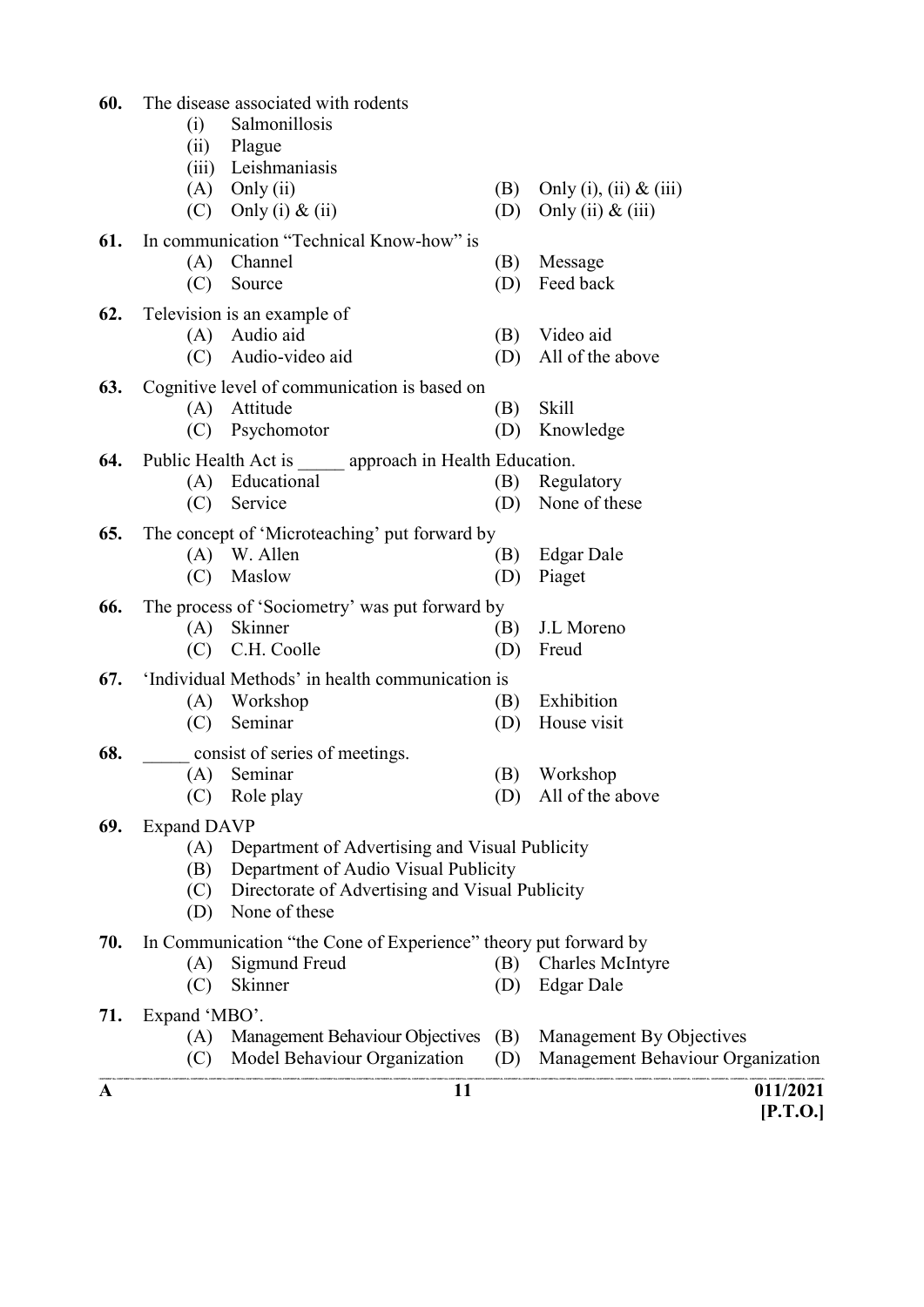| 60. |                      | The disease associated with rodents                                              |     |                                   |
|-----|----------------------|----------------------------------------------------------------------------------|-----|-----------------------------------|
|     | (i)                  | Salmonillosis                                                                    |     |                                   |
|     | (ii)<br>(iii)        | Plague<br>Leishmaniasis                                                          |     |                                   |
|     | (A)                  | Only (ii)                                                                        | (B) | Only (i), (ii) $\&$ (iii)         |
|     | (C)                  | Only (i) $&$ (ii)                                                                | (D) | Only (ii) $&$ (iii)               |
| 61. |                      | In communication "Technical Know-how" is                                         |     |                                   |
|     | (A)                  | Channel                                                                          | (B) | Message                           |
|     | (C)                  | Source                                                                           | (D) | Feed back                         |
| 62. |                      | Television is an example of                                                      |     |                                   |
|     | (A)                  | Audio aid                                                                        | (B) | Video aid                         |
|     | (C)                  | Audio-video aid                                                                  | (D) | All of the above                  |
| 63. |                      | Cognitive level of communication is based on                                     |     |                                   |
|     | (A)                  | Attitude                                                                         | (B) | <b>Skill</b>                      |
|     | (C)                  | Psychomotor                                                                      | (D) | Knowledge                         |
| 64. |                      | Public Health Act is approach in Health Education.                               |     |                                   |
|     |                      | (A) Educational                                                                  | (B) | Regulatory                        |
|     | (C)                  | Service                                                                          | (D) | None of these                     |
| 65. |                      | The concept of 'Microteaching' put forward by                                    |     |                                   |
|     |                      | (A) W. Allen                                                                     | (B) | Edgar Dale                        |
|     | (C)                  | Maslow                                                                           | (D) | Piaget                            |
| 66. |                      | The process of 'Sociometry' was put forward by                                   |     |                                   |
|     | (A)                  | Skinner                                                                          | (B) | J.L Moreno                        |
|     | (C)                  | C.H. Coolle                                                                      | (D) | Freud                             |
| 67. |                      | 'Individual Methods' in health communication is                                  |     |                                   |
|     | (A)                  | Workshop                                                                         | (B) | Exhibition                        |
|     | (C)                  | Seminar                                                                          | (D) | House visit                       |
| 68. |                      | consist of series of meetings.                                                   |     |                                   |
|     | (A)                  | Seminar                                                                          | (B) | Workshop                          |
|     | (C)                  | Role play                                                                        | (D) | All of the above                  |
| 69. | <b>Expand DAVP</b>   |                                                                                  |     |                                   |
|     | (A)                  | Department of Advertising and Visual Publicity                                   |     |                                   |
|     | (B)                  | Department of Audio Visual Publicity                                             |     |                                   |
|     | (C)<br>(D)           | Directorate of Advertising and Visual Publicity<br>None of these                 |     |                                   |
|     |                      |                                                                                  |     |                                   |
| 70. | (A)                  | In Communication "the Cone of Experience" theory put forward by<br>Sigmund Freud | (B) | <b>Charles McIntyre</b>           |
|     | (C)                  | Skinner                                                                          | (D) | <b>Edgar Dale</b>                 |
|     |                      |                                                                                  |     |                                   |
| 71. | Expand 'MBO'.<br>(A) | Management Behaviour Objectives                                                  | (B) | Management By Objectives          |
|     | (C)                  | Model Behaviour Organization                                                     | (D) | Management Behaviour Organization |
|     |                      | 11                                                                               |     | 011/2021                          |
| A   |                      |                                                                                  |     | [P.T.O.]                          |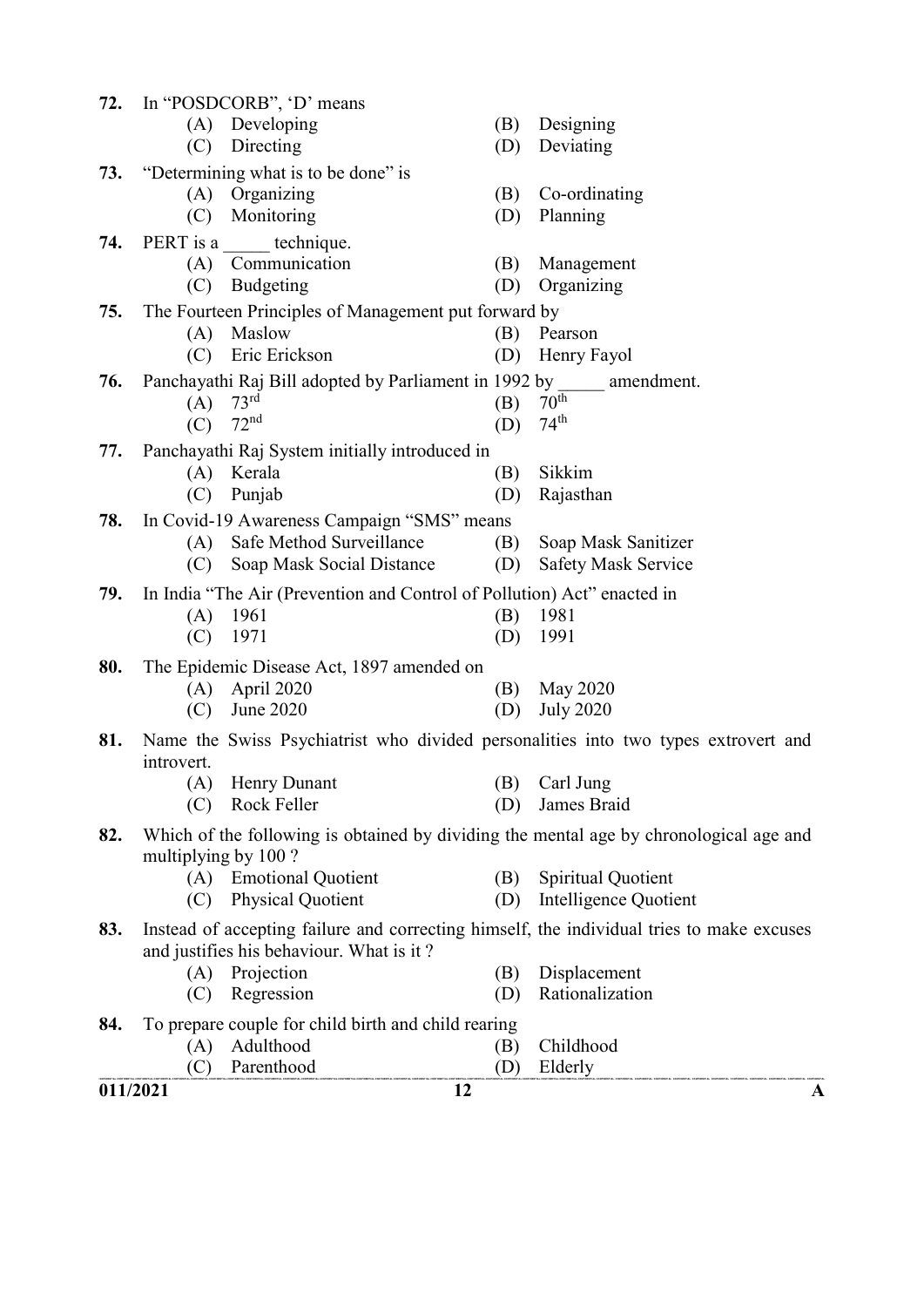| 011/2021 |                                                                                                                                       | 12                                                                      |            | A                                                                                      |  |
|----------|---------------------------------------------------------------------------------------------------------------------------------------|-------------------------------------------------------------------------|------------|----------------------------------------------------------------------------------------|--|
|          | (C)                                                                                                                                   | Parenthood                                                              | (D)        | Elderly                                                                                |  |
|          | (A)                                                                                                                                   | Adulthood                                                               | (B)        | Childhood                                                                              |  |
| 84.      |                                                                                                                                       | To prepare couple for child birth and child rearing                     |            |                                                                                        |  |
|          | (C)                                                                                                                                   | Regression                                                              | (D)        | Rationalization                                                                        |  |
|          |                                                                                                                                       | (A) Projection                                                          | (B)        | Displacement                                                                           |  |
| 83.      | Instead of accepting failure and correcting himself, the individual tries to make excuses<br>and justifies his behaviour. What is it? |                                                                         |            |                                                                                        |  |
|          | (C)                                                                                                                                   | <b>Physical Quotient</b>                                                | (D)        | Intelligence Quotient                                                                  |  |
|          |                                                                                                                                       | (A) Emotional Quotient                                                  | (B)        | Spiritual Quotient                                                                     |  |
|          | multiplying by 100?                                                                                                                   |                                                                         |            |                                                                                        |  |
| 82.      |                                                                                                                                       |                                                                         |            | Which of the following is obtained by dividing the mental age by chronological age and |  |
|          | (C)                                                                                                                                   | Rock Feller                                                             | (D)        | James Braid                                                                            |  |
|          |                                                                                                                                       | (A) Henry Dunant                                                        |            | (B) Carl Jung                                                                          |  |
|          | introvert.                                                                                                                            |                                                                         |            |                                                                                        |  |
| 81.      |                                                                                                                                       |                                                                         |            | Name the Swiss Psychiatrist who divided personalities into two types extrovert and     |  |
|          | (C)                                                                                                                                   | June 2020                                                               | (D)        | <b>July 2020</b>                                                                       |  |
| 80.      | (A)                                                                                                                                   | The Epidemic Disease Act, 1897 amended on<br>April 2020                 | (B)        | <b>May 2020</b>                                                                        |  |
|          |                                                                                                                                       |                                                                         |            |                                                                                        |  |
|          | (A)<br>(C)                                                                                                                            | 1961<br>1971                                                            | (B)<br>(D) | 1981<br>1991                                                                           |  |
| 79.      |                                                                                                                                       | In India "The Air (Prevention and Control of Pollution) Act" enacted in |            |                                                                                        |  |
|          | (C)                                                                                                                                   | Soap Mask Social Distance                                               | (D)        | <b>Safety Mask Service</b>                                                             |  |
|          | (A)                                                                                                                                   | Safe Method Surveillance                                                | (B)        | Soap Mask Sanitizer                                                                    |  |
| 78.      |                                                                                                                                       | In Covid-19 Awareness Campaign "SMS" means                              |            |                                                                                        |  |
|          | (C)                                                                                                                                   | Punjab                                                                  | (D)        | Rajasthan                                                                              |  |
|          | (A)                                                                                                                                   | Kerala                                                                  | (B)        | Sikkim                                                                                 |  |
| 77.      |                                                                                                                                       | Panchayathi Raj System initially introduced in                          |            |                                                                                        |  |
|          | (C)                                                                                                                                   | 72 <sup>nd</sup>                                                        | (D)        | 74 <sup>th</sup>                                                                       |  |
|          | (A)                                                                                                                                   | 73 <sup>rd</sup>                                                        | (B)        | $70^{\rm th}$                                                                          |  |
| 76.      |                                                                                                                                       | Panchayathi Raj Bill adopted by Parliament in 1992 by ______ amendment. |            |                                                                                        |  |
|          | (A)<br>(C)                                                                                                                            | Maslow<br>Eric Erickson                                                 | (B)<br>(D) | Pearson<br>Henry Fayol                                                                 |  |
| 75.      |                                                                                                                                       | The Fourteen Principles of Management put forward by                    |            |                                                                                        |  |
|          | (C)                                                                                                                                   | <b>Budgeting</b>                                                        | (D)        | Organizing                                                                             |  |
|          |                                                                                                                                       | (A) Communication                                                       | (B)        | Management                                                                             |  |
| 74.      |                                                                                                                                       | PERT is a technique.                                                    |            |                                                                                        |  |
|          | (C)                                                                                                                                   | Monitoring                                                              | (D)        | Planning                                                                               |  |
|          | (A)                                                                                                                                   | Organizing                                                              | (B)        | Co-ordinating                                                                          |  |
| 73.      | "Determining what is to be done" is                                                                                                   |                                                                         |            |                                                                                        |  |
|          | (C)                                                                                                                                   | (A) Developing<br>Directing                                             | (B)<br>(D) | Designing<br>Deviating                                                                 |  |
| 72.      |                                                                                                                                       | In "POSDCORB", 'D' means                                                |            |                                                                                        |  |
|          |                                                                                                                                       |                                                                         |            |                                                                                        |  |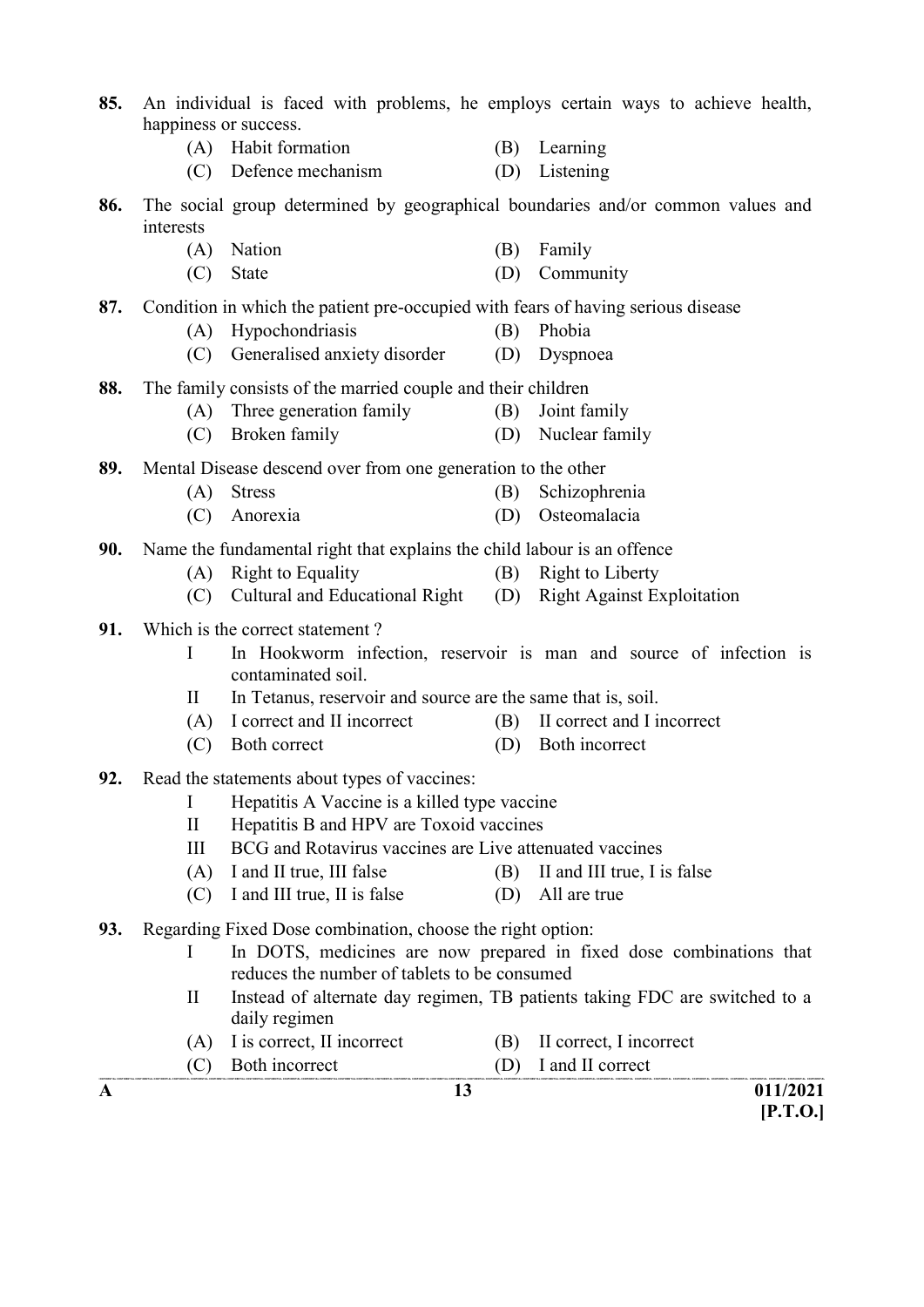| 85. | An individual is faced with problems, he employs certain ways to achieve health,<br>happiness or success. |                                                                                                     |            |                                                                            |
|-----|-----------------------------------------------------------------------------------------------------------|-----------------------------------------------------------------------------------------------------|------------|----------------------------------------------------------------------------|
|     |                                                                                                           | (A) Habit formation                                                                                 | (B)        | Learning                                                                   |
|     | (C)                                                                                                       | Defence mechanism                                                                                   | (D)        | Listening                                                                  |
| 86. | The social group determined by geographical boundaries and/or common values and<br>interests              |                                                                                                     |            |                                                                            |
|     | (A)<br>(C)                                                                                                | Nation<br>State                                                                                     | (B)<br>(D) | Family<br>Community                                                        |
| 87. | (A)                                                                                                       | Condition in which the patient pre-occupied with fears of having serious disease<br>Hypochondriasis | (B)        | Phobia                                                                     |
|     | (C)                                                                                                       | Generalised anxiety disorder                                                                        | (D)        | Dyspnoea                                                                   |
| 88. |                                                                                                           | The family consists of the married couple and their children                                        |            |                                                                            |
|     | (A)                                                                                                       | Three generation family                                                                             | (B)        | Joint family                                                               |
|     | (C)                                                                                                       | Broken family                                                                                       | (D)        | Nuclear family                                                             |
| 89. |                                                                                                           | Mental Disease descend over from one generation to the other                                        |            |                                                                            |
|     | (A)<br>(C)                                                                                                | <b>Stress</b><br>Anorexia                                                                           | (B)<br>(D) | Schizophrenia<br>Osteomalacia                                              |
|     |                                                                                                           |                                                                                                     |            |                                                                            |
| 90. | (A)                                                                                                       | Name the fundamental right that explains the child labour is an offence<br>Right to Equality        | (B)        | Right to Liberty                                                           |
|     | (C)                                                                                                       | Cultural and Educational Right                                                                      | (D)        | <b>Right Against Exploitation</b>                                          |
| 91. |                                                                                                           | Which is the correct statement?                                                                     |            |                                                                            |
|     | Ι                                                                                                         | contaminated soil.                                                                                  |            | In Hookworm infection, reservoir is man and source of infection is         |
|     | $\rm{II}$                                                                                                 | In Tetanus, reservoir and source are the same that is, soil.                                        |            |                                                                            |
|     | (A)                                                                                                       | I correct and II incorrect                                                                          | (B)        | II correct and I incorrect                                                 |
|     | (C)                                                                                                       | Both correct                                                                                        | (D)        | Both incorrect                                                             |
| 92. |                                                                                                           | Read the statements about types of vaccines:                                                        |            |                                                                            |
|     | I<br>$\rm II$                                                                                             | Hepatitis A Vaccine is a killed type vaccine                                                        |            |                                                                            |
|     | Ш                                                                                                         | Hepatitis B and HPV are Toxoid vaccines<br>BCG and Rotavirus vaccines are Live attenuated vaccines  |            |                                                                            |
|     | (A)                                                                                                       | I and II true, III false                                                                            | (B)        | II and III true, I is false                                                |
|     | (C)                                                                                                       | I and III true, II is false                                                                         | (D)        | All are true                                                               |
| 93. |                                                                                                           | Regarding Fixed Dose combination, choose the right option:                                          |            |                                                                            |
|     | $\mathbf{I}$                                                                                              |                                                                                                     |            | In DOTS, medicines are now prepared in fixed dose combinations that        |
|     |                                                                                                           | reduces the number of tablets to be consumed                                                        |            |                                                                            |
|     | $\rm II$                                                                                                  | daily regimen                                                                                       |            | Instead of alternate day regimen, TB patients taking FDC are switched to a |
|     | (A)                                                                                                       | I is correct, II incorrect                                                                          | (B)        | II correct, I incorrect                                                    |
|     | (C)                                                                                                       | Both incorrect                                                                                      | (D)        | I and II correct                                                           |
| A   |                                                                                                           | 13                                                                                                  |            | 011/2021                                                                   |

 $[P.T.O.]$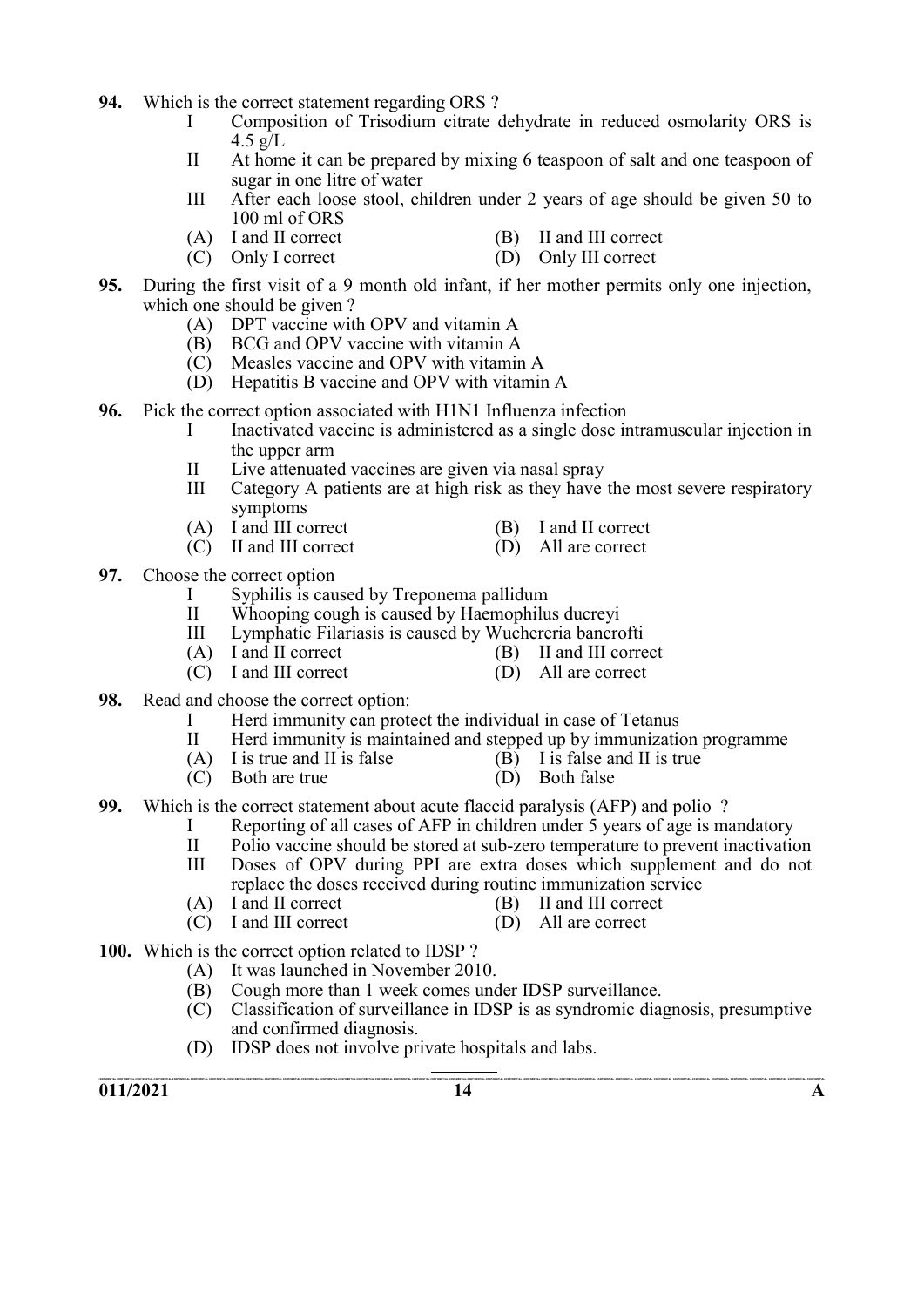- 94. Which is the correct statement regarding ORS?
	- I Composition of Trisodium citrate dehydrate in reduced osmolarity ORS is 4.5  $g/L$
	- II At home it can be prepared by mixing 6 teaspoon of salt and one teaspoon of sugar in one litre of water
	- III After each loose stool, children under 2 years of age should be given 50 to 100 ml of ORS
	- (A) I and II correct (B) II and III correct (C) Only I correct (D) Only III correct
- 95. During the first visit of a 9 month old infant, if her mother permits only one injection,
	- which one should be given ?
		- (A) DPT vaccine with OPV and vitamin A
		- (B) BCG and OPV vaccine with vitamin A
		- (C) Measles vaccine and OPV with vitamin A
		- (D) Hepatitis B vaccine and OPV with vitamin A
- 96. Pick the correct option associated with H1N1 Influenza infection
	- I Inactivated vaccine is administered as a single dose intramuscular injection in the upper arm
	- II Live attenuated vaccines are given via nasal spray
	- III Category A patients are at high risk as they have the most severe respiratory symptoms
	- (A) I and III correct (B) I and II correct
	- (C) II and III correct (D) All are correct
- 97. Choose the correct option
	- I Syphilis is caused by Treponema pallidum
	- II Whooping cough is caused by Haemophilus ducreyi
	- III Lymphatic Filariasis is caused by Wuchereria bancrofti
	- (A) I and II correct (B) II and III correct (C) I and III correct (D) All are correct
	- (C) I and III correct (D) All are correct
- 98. Read and choose the correct option:
	- I Herd immunity can protect the individual in case of Tetanus
	- II Herd immunity is maintained and stepped up by immunization programme
	- (A) I is true and II is false  $(B)$  I is false and II is true
	- (C) Both are true (D) Both false
		-

99. Which is the correct statement about acute flaccid paralysis (AFP) and polio ?

- I Reporting of all cases of AFP in children under 5 years of age is mandatory<br>II Polio vaccine should be stored at sub-zero temperature to prevent inactivation
- Polio vaccine should be stored at sub-zero temperature to prevent inactivation
- III Doses of OPV during PPI are extra doses which supplement and do not replace the doses received during routine immunization service
- (A) I and II correct (B) II and III correct (C) I and III correct (D) All are correct
	-
	-
- 100. Which is the correct option related to IDSP?

 $(C)$  I and III correct

- (A) It was launched in November 2010.
- (B) Cough more than 1 week comes under IDSP surveillance.
- (C) Classification of surveillance in IDSP is as syndromic diagnosis, presumptive and confirmed diagnosis.
- (D) IDSP does not involve private hospitals and labs.

 $011/2021$  and  $14$  and  $14$  and  $14$  and  $14$  and  $14$  and  $14$  and  $14$  and  $14$  and  $14$  and  $14$  and  $14$  and  $14$  and  $14$  and  $14$  and  $14$  and  $14$  and  $14$  and  $14$  and  $14$  and  $14$  and  $14$  and  $14$  and  $14$  and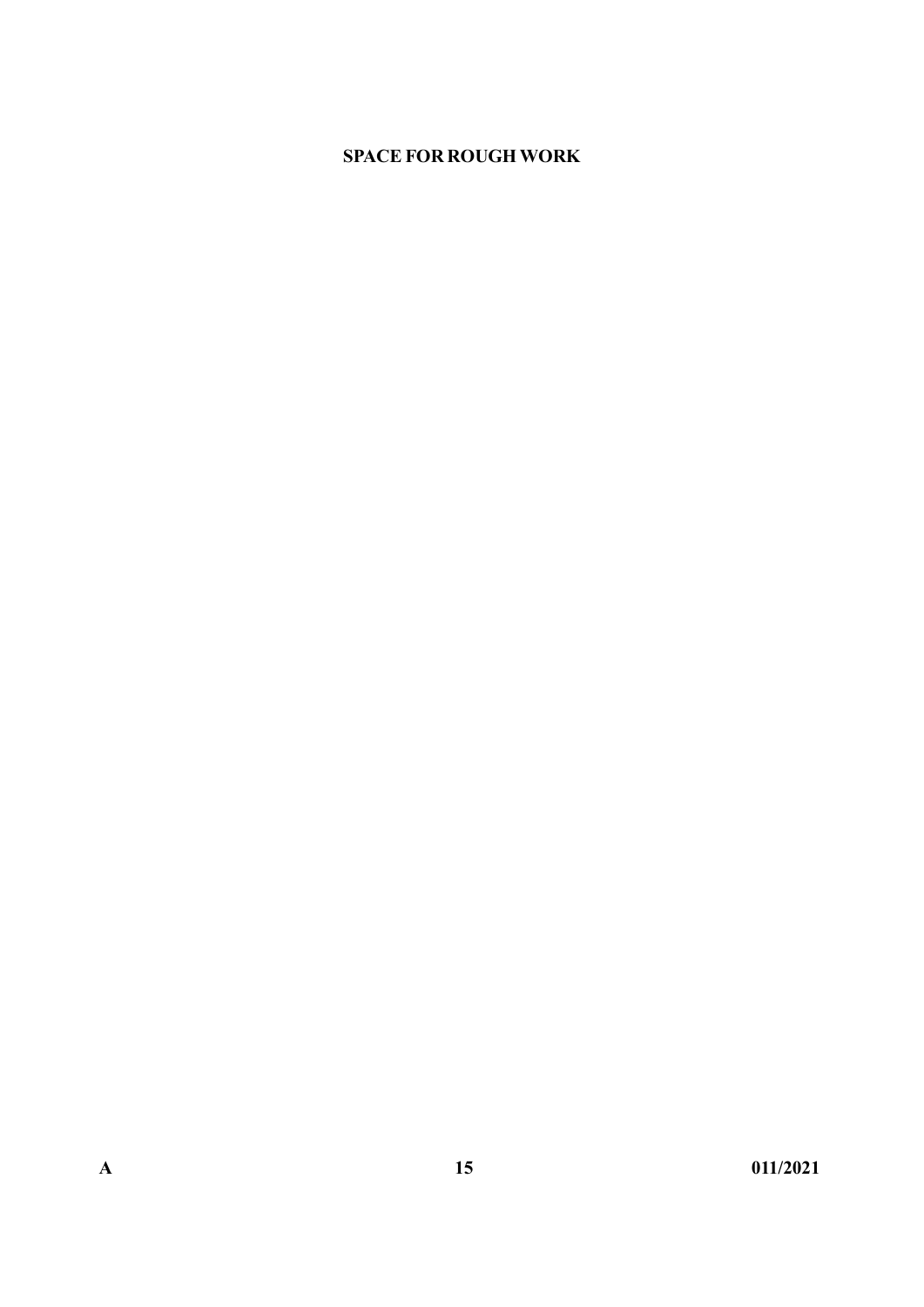# SPACE FOR ROUGH WORK